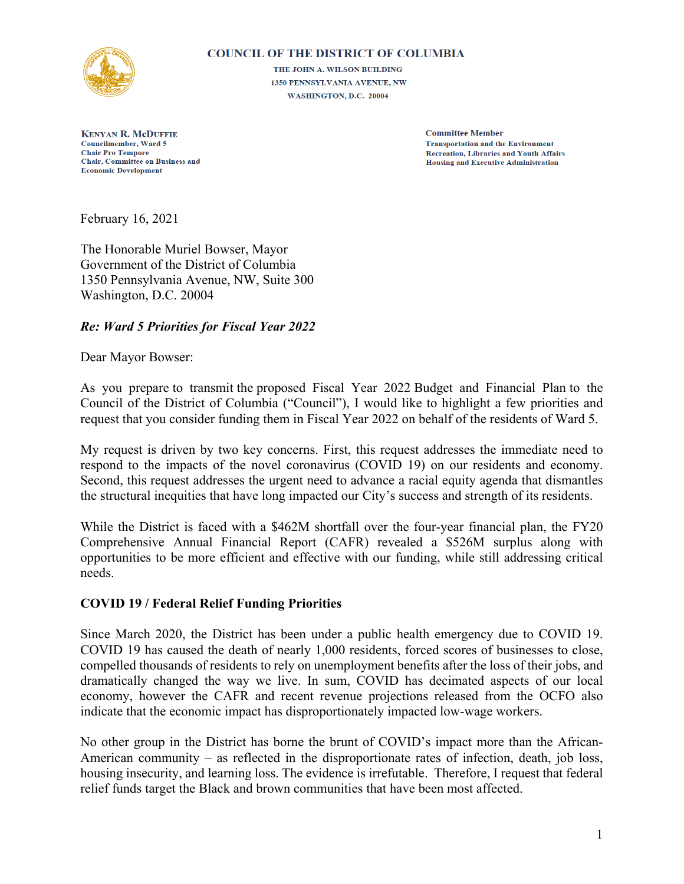

#### **COUNCIL OF THE DISTRICT OF COLUMBIA**

THE JOHN A. WILSON BUILDING 1350 PENNSYLVANIA AVENUE, NW WASHINGTON, D.C. 20004

**KENYAN R. McDUFFIE Councilmember, Ward 5 Chair Pro Tempore** Chair, Committee on Business and **Economic Development** 

**Committee Member Transportation and the Environment Recreation, Libraries and Youth Affairs Housing and Executive Administration** 

February 16, 2021

The Honorable Muriel Bowser, Mayor Government of the District of Columbia 1350 Pennsylvania Avenue, NW, Suite 300 Washington, D.C. 20004

### *Re: Ward 5 Priorities for Fiscal Year 2022*

Dear Mayor Bowser:

As you prepare to transmit the proposed Fiscal Year 2022 Budget and Financial Plan to the Council of the District of Columbia ("Council"), I would like to highlight a few priorities and request that you consider funding them in Fiscal Year 2022 on behalf of the residents of Ward 5.

My request is driven by two key concerns. First, this request addresses the immediate need to respond to the impacts of the novel coronavirus (COVID 19) on our residents and economy. Second, this request addresses the urgent need to advance a racial equity agenda that dismantles the structural inequities that have long impacted our City's success and strength of its residents.

While the District is faced with a \$462M shortfall over the four-year financial plan, the FY20 Comprehensive Annual Financial Report (CAFR) revealed a \$526M surplus along with opportunities to be more efficient and effective with our funding, while still addressing critical needs.

### **COVID 19 / Federal Relief Funding Priorities**

Since March 2020, the District has been under a public health emergency due to COVID 19. COVID 19 has caused the death of nearly 1,000 residents, forced scores of businesses to close, compelled thousands of residents to rely on unemployment benefits after the loss of their jobs, and dramatically changed the way we live. In sum, COVID has decimated aspects of our local economy, however the CAFR and recent revenue projections released from the OCFO also indicate that the economic impact has disproportionately impacted low-wage workers.

No other group in the District has borne the brunt of COVID's impact more than the African-American community – as reflected in the disproportionate rates of infection, death, job loss, housing insecurity, and learning loss. The evidence is irrefutable. Therefore, I request that federal relief funds target the Black and brown communities that have been most affected.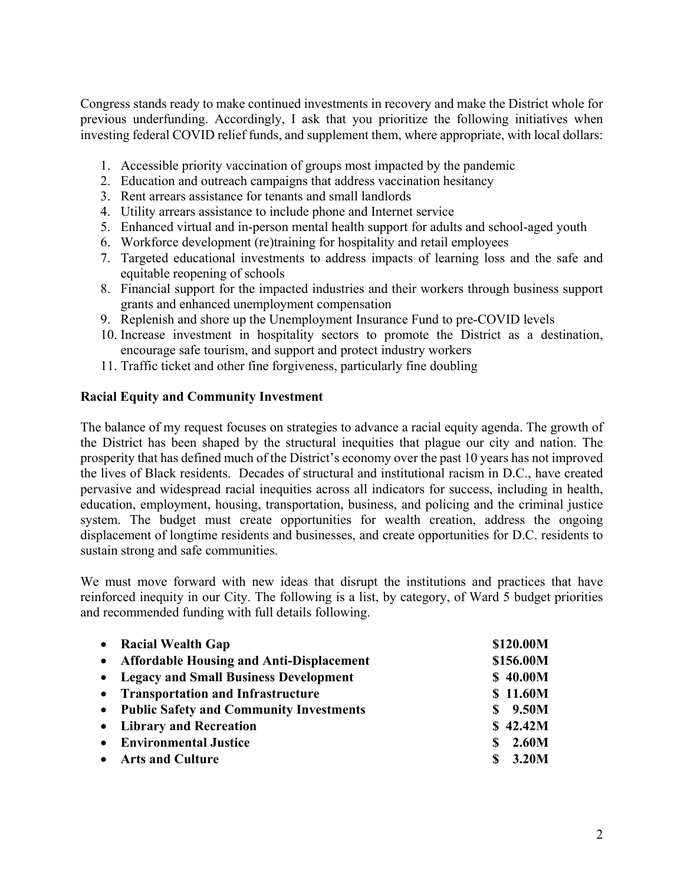Congress stands ready to make continued investments in recovery and make the District whole for previous underfunding. Accordingly, I ask that you prioritize the following initiatives when investing federal COVID relief funds, and supplement them, where appropriate, with local dollars:

- 1. Accessible priority vaccination of groups most impacted by the pandemic
- 2. Education and outreach campaigns that address vaccination hesitancy
- 3. Rent arrears assistance for tenants and small landlords
- 4. Utility arrears assistance to include phone and Internet service
- 5. Enhanced virtual and in-person mental health support for adults and school-aged youth
- 6. Workforce development (re)training for hospitality and retail employees
- 7. Targeted educational investments to address impacts of learning loss and the safe and equitable reopening of schools
- 8. Financial support for the impacted industries and their workers through business support grants and enhanced unemployment compensation
- 9. Replenish and shore up the Unemployment Insurance Fund to pre-COVID levels
- 10. Increase investment in hospitality sectors to promote the District as a destination, encourage safe tourism, and support and protect industry workers
- 11. Traffic ticket and other fine forgiveness, particularly fine doubling

### **Racial Equity and Community Investment**

The balance of my request focuses on strategies to advance a racial equity agenda. The growth of the District has been shaped by the structural inequities that plague our city and nation. The prosperity that has defined much of the District's economy over the past 10 years has not improved the lives of Black residents. Decades of structural and institutional racism in D.C., have created pervasive and widespread racial inequities across all indicators for success, including in health, education, employment, housing, transportation, business, and policing and the criminal justice system. The budget must create opportunities for wealth creation, address the ongoing displacement of longtime residents and businesses, and create opportunities for D.C. residents to sustain strong and safe communities.

We must move forward with new ideas that disrupt the institutions and practices that have reinforced inequity in our City. The following is a list, by category, of Ward 5 budget priorities and recommended funding with full details following.

| • Racial Wealth Gap                        | \$120.00M   |
|--------------------------------------------|-------------|
| • Affordable Housing and Anti-Displacement | \$156.00M   |
| • Legacy and Small Business Development    | \$40.00M    |
| • Transportation and Infrastructure        | \$11.60M    |
| • Public Safety and Community Investments  | \$9.50M     |
| • Library and Recreation                   | \$42.42M    |
| • Environmental Justice                    | 2.60M<br>S. |
| • Arts and Culture                         | 3.20M<br>S  |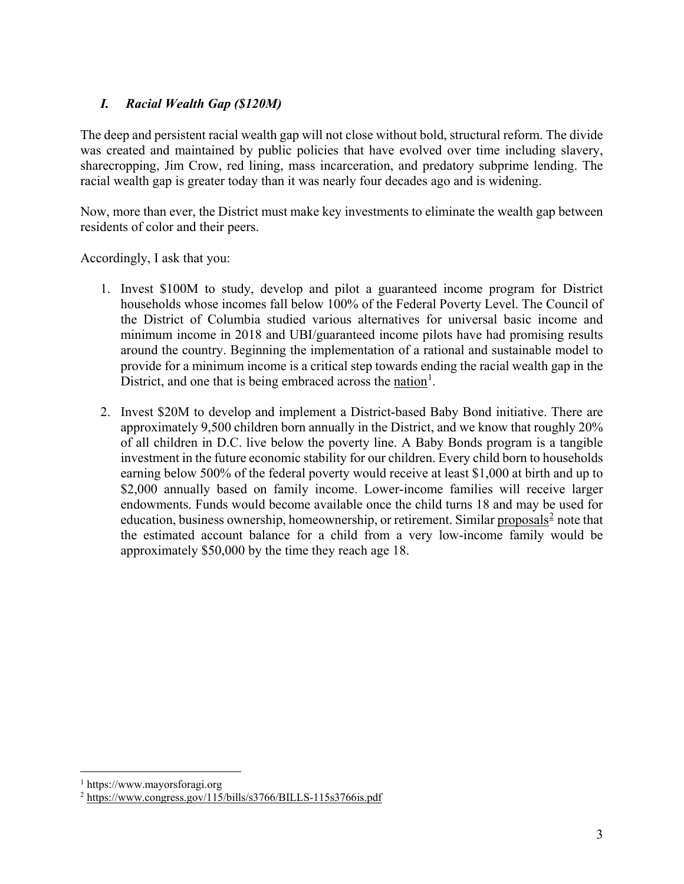## *I. Racial Wealth Gap (\$120M)*

The deep and persistent racial wealth gap will not close without bold, structural reform. The divide was created and maintained by public policies that have evolved over time including slavery, sharecropping, Jim Crow, red lining, mass incarceration, and predatory subprime lending. The racial wealth gap is greater today than it was nearly four decades ago and is widening.

Now, more than ever, the District must make key investments to eliminate the wealth gap between residents of color and their peers.

Accordingly, I ask that you:

- 1. Invest \$100M to study, develop and pilot a guaranteed income program for District households whose incomes fall below 100% of the Federal Poverty Level. The Council of the District of Columbia studied various alternatives for universal basic income and minimum income in 2018 and UBI/guaranteed income pilots have had promising results around the country. Beginning the implementation of a rational and sustainable model to provide for a minimum income is a critical step towards ending the racial wealth gap in the District, and one that is being embraced across the [nation](https://www.mayorsforagi.org/)<sup>[1](#page-2-0)</sup>.
- 2. Invest \$20M to develop and implement a District-based Baby Bond initiative. There are approximately 9,500 children born annually in the District, and we know that roughly 20% of all children in D.C. live below the poverty line. A Baby Bonds program is a tangible investment in the future economic stability for our children. Every child born to households earning below 500% of the federal poverty would receive at least \$1,000 at birth and up to \$2,000 annually based on family income. Lower-income families will receive larger endowments. Funds would become available once the child turns 18 and may be used for education, business ownership, homeownership, or retirement. Similar [proposals](https://www.congress.gov/115/bills/s3766/BILLS-115s3766is.pdf) $\epsilon$  note that the estimated account balance for a child from a very low-income family would be approximately \$50,000 by the time they reach age 18.

 $\overline{a}$ 

<span id="page-2-0"></span><sup>1</sup> https://www.mayorsforagi.org

<span id="page-2-1"></span><sup>2</sup> <https://www.congress.gov/115/bills/s3766/BILLS-115s3766is.pdf>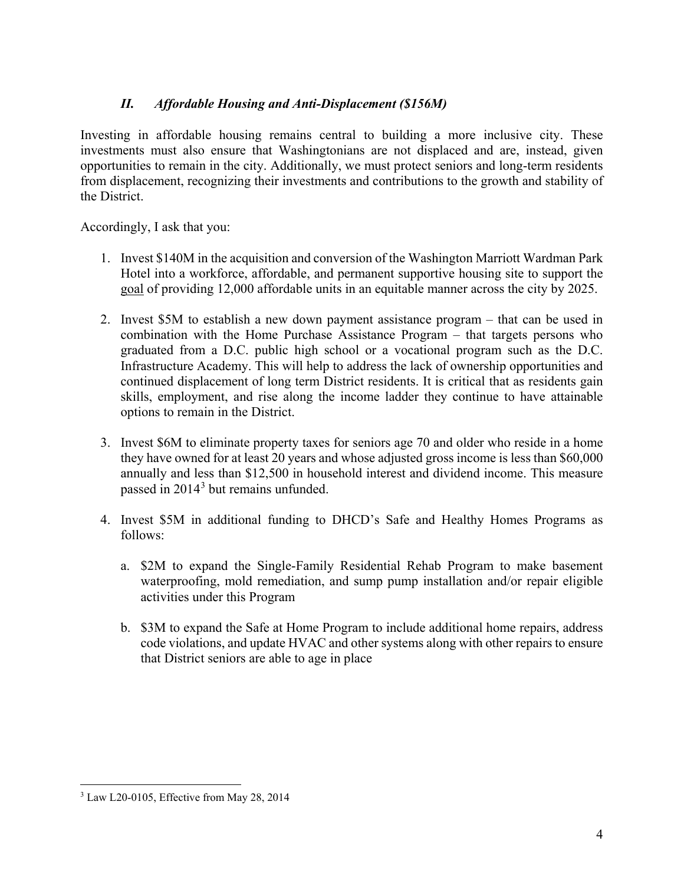## *II. Affordable Housing and Anti-Displacement (\$156M)*

Investing in affordable housing remains central to building a more inclusive city. These investments must also ensure that Washingtonians are not displaced and are, instead, given opportunities to remain in the city. Additionally, we must protect seniors and long-term residents from displacement, recognizing their investments and contributions to the growth and stability of the District.

Accordingly, I ask that you:

- 1. Invest \$140M in the acquisition and conversion of the Washington Marriott Wardman Park Hotel into a workforce, affordable, and permanent supportive housing site to support the [goal](https://open.dc.gov/36000by2025/) of providing 12,000 affordable units in an equitable manner across the city by 2025.
- 2. Invest \$5M to establish a new down payment assistance program that can be used in combination with the Home Purchase Assistance Program – that targets persons who graduated from a D.C. public high school or a vocational program such as the D.C. Infrastructure Academy. This will help to address the lack of ownership opportunities and continued displacement of long term District residents. It is critical that as residents gain skills, employment, and rise along the income ladder they continue to have attainable options to remain in the District.
- 3. Invest \$6M to eliminate property taxes for seniors age 70 and older who reside in a home they have owned for at least 20 years and whose adjusted gross income is less than \$60,000 annually and less than \$12,500 in household interest and dividend income. This [measure](https://lims.dccouncil.us/downloads/LIMS/29474/Signed_Act/B20-0318-SignedAct.pdf) passed in 2014<sup>[3](#page-3-0)</sup> but remains unfunded.
- 4. Invest \$5M in additional funding to DHCD's Safe and Healthy Homes Programs as follows:
	- a. \$2M to expand the Single-Family Residential Rehab Program to make basement waterproofing, mold remediation, and sump pump installation and/or repair eligible activities under this Program
	- b. \$3M to expand the Safe at Home Program to include additional home repairs, address code violations, and update HVAC and other systems along with other repairs to ensure that District seniors are able to age in place

<span id="page-3-0"></span> $\overline{a}$ <sup>3</sup> Law L20-0105, Effective from May 28, 2014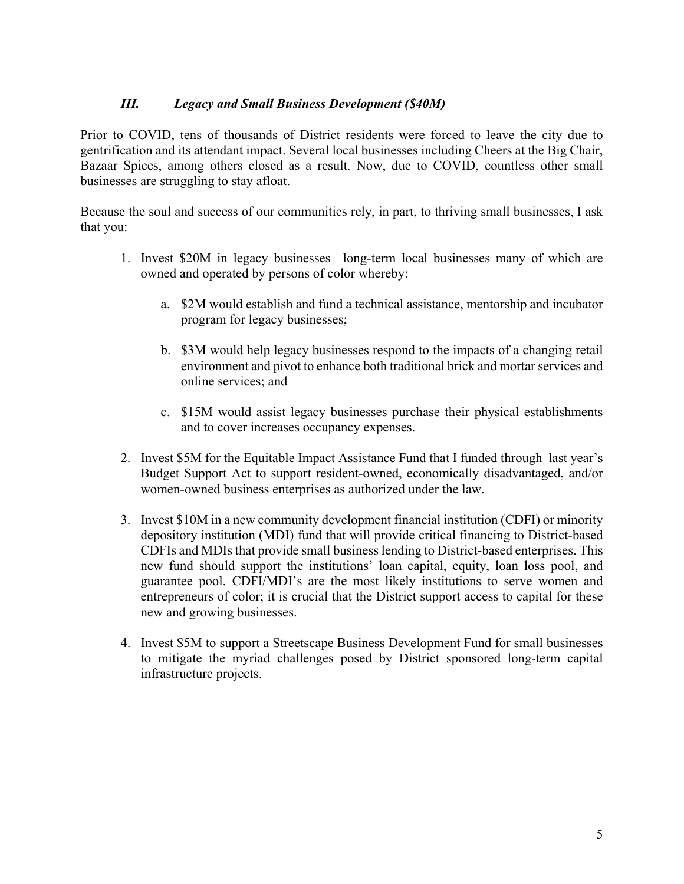## *III. Legacy and Small Business Development (\$40M)*

Prior to COVID, tens of thousands of District residents were forced to leave the city due to gentrification and its attendant impact. Several local businesses including Cheers at the Big Chair, Bazaar Spices, among others closed as a result. Now, due to COVID, countless other small businesses are struggling to stay afloat.

Because the soul and success of our communities rely, in part, to thriving small businesses, I ask that you:

- 1. Invest \$20M in legacy businesses– long-term local businesses many of which are owned and operated by persons of color whereby:
	- a. \$2M would establish and fund a technical assistance, mentorship and incubator program for legacy businesses;
	- b. \$3M would help legacy businesses respond to the impacts of a changing retail environment and pivot to enhance both traditional brick and mortar services and online services; and
	- c. \$15M would assist legacy businesses purchase their physical establishments and to cover increases occupancy expenses.
- 2. Invest \$5M for the Equitable Impact Assistance Fund that I funded through last year's Budget Support Act to support resident-owned, economically disadvantaged, and/or women-owned business enterprises as authorized under the law.
- 3. Invest \$10M in a new community development financial institution (CDFI) or minority depository institution (MDI) fund that will provide critical financing to District-based CDFIs and MDIs that provide small business lending to District-based enterprises. This new fund should support the institutions' loan capital, equity, loan loss pool, and guarantee pool. CDFI/MDI's are the most likely institutions to serve women and entrepreneurs of color; it is crucial that the District support access to capital for these new and growing businesses.
- 4. Invest \$5M to support a Streetscape Business Development Fund for small businesses to mitigate the myriad challenges posed by District sponsored long-term capital infrastructure projects.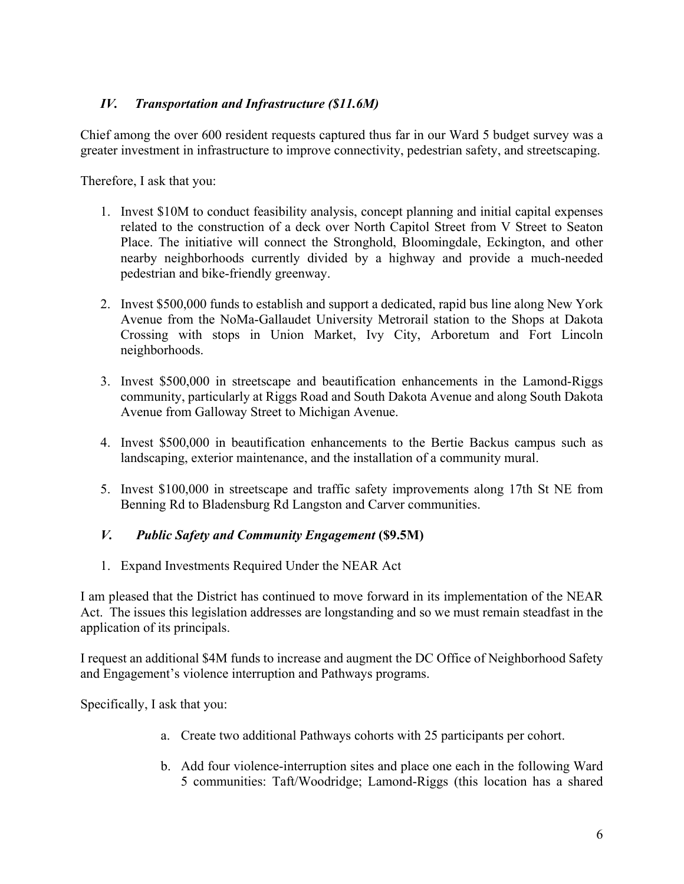## *IV. Transportation and Infrastructure (\$11.6M)*

Chief among the over 600 resident requests captured thus far in our Ward 5 budget survey was a greater investment in infrastructure to improve connectivity, pedestrian safety, and streetscaping.

Therefore, I ask that you:

- 1. Invest \$10M to conduct feasibility analysis, concept planning and initial capital expenses related to the construction of a deck over North Capitol Street from V Street to Seaton Place. The initiative will connect the Stronghold, Bloomingdale, Eckington, and other nearby neighborhoods currently divided by a highway and provide a much-needed pedestrian and bike-friendly greenway.
- 2. Invest \$500,000 funds to establish and support a dedicated, rapid bus line along New York Avenue from the NoMa-Gallaudet University Metrorail station to the Shops at Dakota Crossing with stops in Union Market, Ivy City, Arboretum and Fort Lincoln neighborhoods.
- 3. Invest \$500,000 in streetscape and beautification enhancements in the Lamond-Riggs community, particularly at Riggs Road and South Dakota Avenue and along South Dakota Avenue from Galloway Street to Michigan Avenue.
- 4. Invest \$500,000 in beautification enhancements to the Bertie Backus campus such as landscaping, exterior maintenance, and the installation of a community mural.
- 5. Invest \$100,000 in streetscape and traffic safety improvements along 17th St NE from Benning Rd to Bladensburg Rd Langston and Carver communities.

### *V. Public Safety and Community Engagement* **(\$9.5M)**

1. Expand Investments Required Under the NEAR Act

I am pleased that the District has continued to move forward in its implementation of the NEAR Act. The issues this legislation addresses are longstanding and so we must remain steadfast in the application of its principals.

I request an additional \$4M funds to increase and augment the DC Office of Neighborhood Safety and Engagement's violence interruption and Pathways programs.

Specifically, I ask that you:

- a. Create two additional Pathways cohorts with 25 participants per cohort.
- b. Add four violence-interruption sites and place one each in the following Ward 5 communities: Taft/Woodridge; Lamond-Riggs (this location has a shared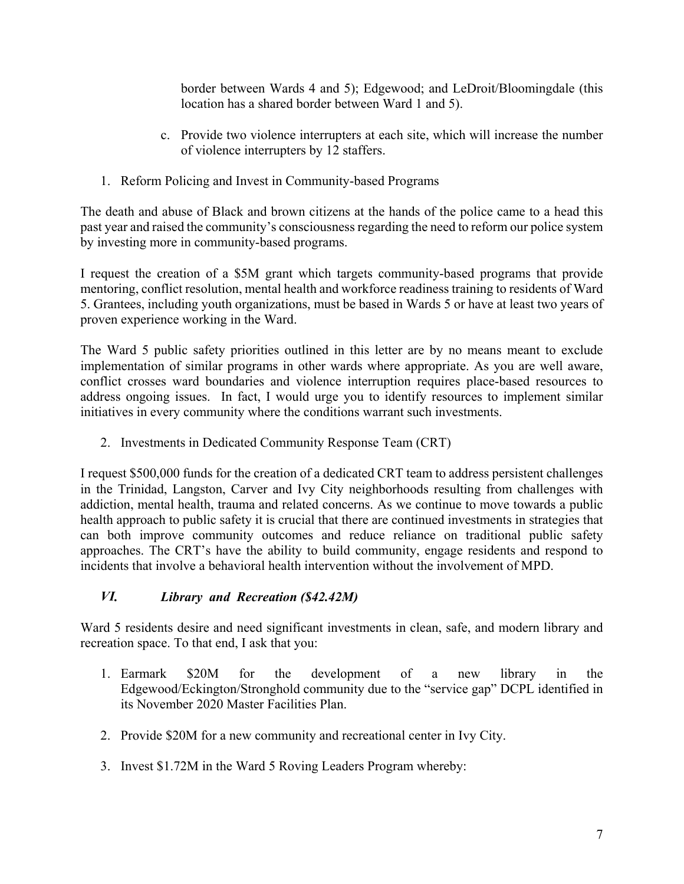border between Wards 4 and 5); Edgewood; and LeDroit/Bloomingdale (this location has a shared border between Ward 1 and 5).

- c. Provide two violence interrupters at each site, which will increase the number of violence interrupters by 12 staffers.
- 1. Reform Policing and Invest in Community-based Programs

The death and abuse of Black and brown citizens at the hands of the police came to a head this past year and raised the community's consciousnessregarding the need to reform our police system by investing more in community-based programs.

I request the creation of a \$5M grant which targets community-based programs that provide mentoring, conflict resolution, mental health and workforce readiness training to residents of Ward 5. Grantees, including youth organizations, must be based in Wards 5 or have at least two years of proven experience working in the Ward.

The Ward 5 public safety priorities outlined in this letter are by no means meant to exclude implementation of similar programs in other wards where appropriate. As you are well aware, conflict crosses ward boundaries and violence interruption requires place-based resources to address ongoing issues. In fact, I would urge you to identify resources to implement similar initiatives in every community where the conditions warrant such investments.

2. Investments in Dedicated Community Response Team (CRT)

I request \$500,000 funds for the creation of a dedicated CRT team to address persistent challenges in the Trinidad, Langston, Carver and Ivy City neighborhoods resulting from challenges with addiction, mental health, trauma and related concerns. As we continue to move towards a public health approach to public safety it is crucial that there are continued investments in strategies that can both improve community outcomes and reduce reliance on traditional public safety approaches. The CRT's have the ability to build community, engage residents and respond to incidents that involve a behavioral health intervention without the involvement of MPD.

# *VI. Library and Recreation (\$42.42M)*

Ward 5 residents desire and need significant investments in clean, safe, and modern library and recreation space. To that end, I ask that you:

- 1. Earmark \$20M for the development of a new library in the Edgewood/Eckington/Stronghold community due to the "service gap" DCPL identified in its November 2020 Master Facilities Plan.
- 2. Provide \$20M for a new community and recreational center in Ivy City.
- 3. Invest \$1.72M in the Ward 5 Roving Leaders Program whereby: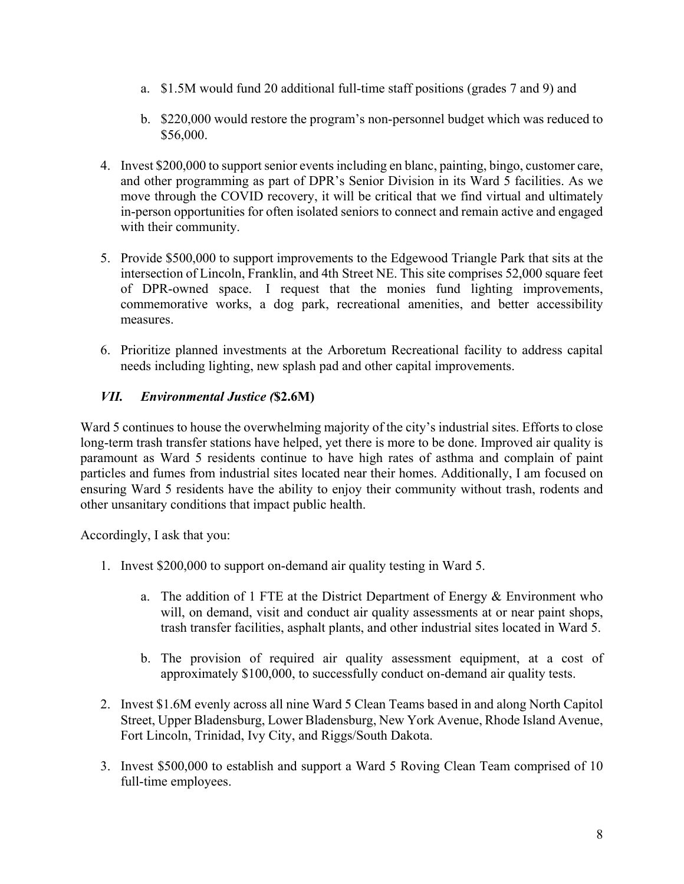- a. \$1.5M would fund 20 additional full-time staff positions (grades 7 and 9) and
- b. \$220,000 would restore the program's non-personnel budget which was reduced to \$56,000.
- 4. Invest \$200,000 to support senior events including en blanc, painting, bingo, customer care, and other programming as part of DPR's Senior Division in its Ward 5 facilities. As we move through the COVID recovery, it will be critical that we find virtual and ultimately in-person opportunities for often isolated seniors to connect and remain active and engaged with their community.
- 5. Provide \$500,000 to support improvements to the Edgewood Triangle Park that sits at the intersection of Lincoln, Franklin, and 4th Street NE. This site comprises 52,000 square feet of DPR-owned space. I request that the monies fund lighting improvements, commemorative works, a dog park, recreational amenities, and better accessibility measures.
- 6. Prioritize planned investments at the Arboretum Recreational facility to address capital needs including lighting, new splash pad and other capital improvements.

## *VII. Environmental Justice (***\$2.6M)**

Ward 5 continues to house the overwhelming majority of the city's industrial sites. Efforts to close long-term trash transfer stations have helped, yet there is more to be done. Improved air quality is paramount as Ward 5 residents continue to have high rates of asthma and complain of paint particles and fumes from industrial sites located near their homes. Additionally, I am focused on ensuring Ward 5 residents have the ability to enjoy their community without trash, rodents and other unsanitary conditions that impact public health.

Accordingly, I ask that you:

- 1. Invest \$200,000 to support on-demand air quality testing in Ward 5.
	- a. The addition of 1 FTE at the District Department of Energy & Environment who will, on demand, visit and conduct air quality assessments at or near paint shops, trash transfer facilities, asphalt plants, and other industrial sites located in Ward 5.
	- b. The provision of required air quality assessment equipment, at a cost of approximately \$100,000, to successfully conduct on-demand air quality tests.
- 2. Invest \$1.6M evenly across all nine Ward 5 Clean Teams based in and along North Capitol Street, Upper Bladensburg, Lower Bladensburg, New York Avenue, Rhode Island Avenue, Fort Lincoln, Trinidad, Ivy City, and Riggs/South Dakota.
- 3. Invest \$500,000 to establish and support a Ward 5 Roving Clean Team comprised of 10 full-time employees.